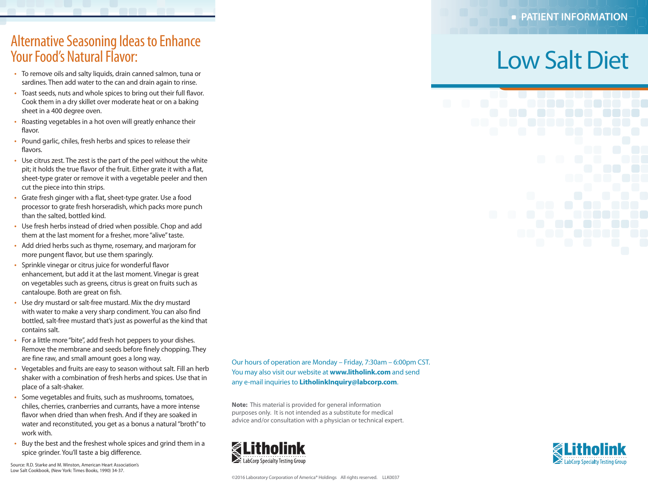### Alternative Seasoning Ideas to Enhance Your Food's Natural Flavor:

- To remove oils and salty liquids, drain canned salmon, tuna or sardines. Then add water to the can and drain again to rinse.
- Toast seeds, nuts and whole spices to bring out their full flavor. Cook them in a dry skillet over moderate heat or on a baking sheet in a 400 degree oven.
- Roasting vegetables in a hot oven will greatly enhance their flavor.
- Pound garlic, chiles, fresh herbs and spices to release their flavors.
- Use citrus zest. The zest is the part of the peel without the white pit; it holds the true flavor of the fruit. Either grate it with a flat, sheet-type grater or remove it with a vegetable peeler and then cut the piece into thin strips.
- Grate fresh ginger with a flat, sheet-type grater. Use a food processor to grate fresh horseradish, which packs more punch than the salted, bottled kind.
- Use fresh herbs instead of dried when possible. Chop and add them at the last moment for a fresher, more "alive" taste.
- Add dried herbs such as thyme, rosemary, and marjoram for more pungent flavor, but use them sparingly.
- Sprinkle vinegar or citrus juice for wonderful flavor enhancement, but add it at the last moment. Vinegar is great on vegetables such as greens, citrus is great on fruits such as cantaloupe. Both are great on fish.
- Use dry mustard or salt-free mustard. Mix the dry mustard with water to make a very sharp condiment. You can also find bottled, salt-free mustard that's just as powerful as the kind that contains salt.
- For a little more "bite", add fresh hot peppers to your dishes. Remove the membrane and seeds before finely chopping. They are fine raw, and small amount goes a long way.
- Vegetables and fruits are easy to season without salt. Fill an herb shaker with a combination of fresh herbs and spices. Use that in place of a salt-shaker.
- Some vegetables and fruits, such as mushrooms, tomatoes, chiles, cherries, cranberries and currants, have a more intense flavor when dried than when fresh. And if they are soaked in water and reconstituted, you get as a bonus a natural "broth" to work with.
- Buy the best and the freshest whole spices and grind them in a spice grinder. You'll taste a big difference.

Source: R.D. Starke and M. Winston, American Heart Association's Low Salt Cookbook, (New York: Times Books, 1990) 34-37.

Our hours of operation are Monday – Friday, 7:30am – 6:00pm CST. You may also visit our website at **www.litholink.com** and send any e-mail inquiries to **LitholinkInquiry@labcorp.com**.

**Note:** This material is provided for general information purposes only. It is not intended as a substitute for medical advice and/or consultation with a physician or technical expert.





# Low Salt Diet